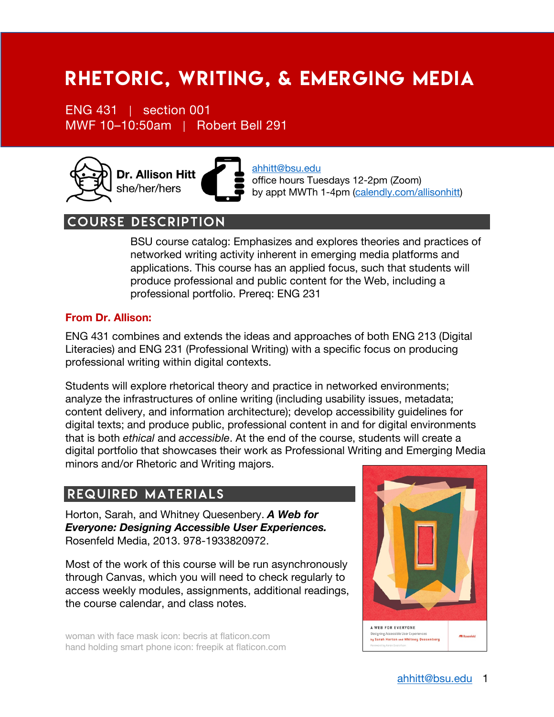# Rhetoric, writing, & emerging media

ENG 431 | section 001 MWF 10–10:50am | Robert Bell 291



ahhitt@bsu.edu office hours Tuesdays 12-2pm (Zoom) by appt MWTh 1-4pm (calendly.com/allisonhitt)

## Course description

BSU course catalog: Emphasizes and explores theories and practices of networked writing activity inherent in emerging media platforms and applications. This course has an applied focus, such that students will produce professional and public content for the Web, including a professional portfolio. Prereq: ENG 231

#### **From Dr. Allison:**

ENG 431 combines and extends the ideas and approaches of both ENG 213 (Digital Literacies) and ENG 231 (Professional Writing) with a specific focus on producing professional writing within digital contexts.

Students will explore rhetorical theory and practice in networked environments; analyze the infrastructures of online writing (including usability issues, metadata; content delivery, and information architecture); develop accessibility guidelines for digital texts; and produce public, professional content in and for digital environments that is both *ethical* and *accessible*. At the end of the course, students will create a digital portfolio that showcases their work as Professional Writing and Emerging Media minors and/or Rhetoric and Writing majors.

### Required materials

Horton, Sarah, and Whitney Quesenbery. *A Web for Everyone: Designing Accessible User Experiences.* Rosenfeld Media, 2013. 978-1933820972.

Most of the work of this course will be run asynchronously through Canvas, which you will need to check regularly to access weekly modules, assignments, additional readings, the course calendar, and class notes.

woman with face mask icon: becris at flaticon.com hand holding smart phone icon: freepik at flaticon.com

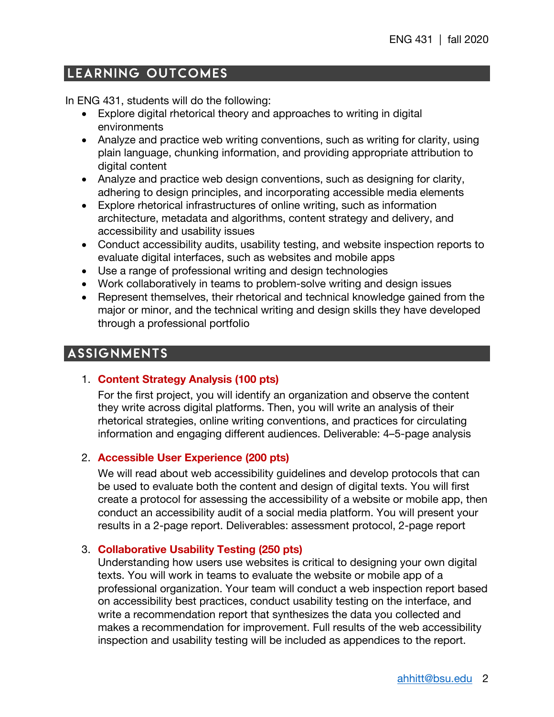## Learning outcomes

In ENG 431, students will do the following:

- Explore digital rhetorical theory and approaches to writing in digital environments
- Analyze and practice web writing conventions, such as writing for clarity, using plain language, chunking information, and providing appropriate attribution to digital content
- Analyze and practice web design conventions, such as designing for clarity, adhering to design principles, and incorporating accessible media elements
- Explore rhetorical infrastructures of online writing, such as information architecture, metadata and algorithms, content strategy and delivery, and accessibility and usability issues
- Conduct accessibility audits, usability testing, and website inspection reports to evaluate digital interfaces, such as websites and mobile apps
- Use a range of professional writing and design technologies
- Work collaboratively in teams to problem-solve writing and design issues
- Represent themselves, their rhetorical and technical knowledge gained from the major or minor, and the technical writing and design skills they have developed through a professional portfolio

# **ASSIGNMENTS**

### 1. **Content Strategy Analysis (100 pts)**

For the first project, you will identify an organization and observe the content they write across digital platforms. Then, you will write an analysis of their rhetorical strategies, online writing conventions, and practices for circulating information and engaging different audiences. Deliverable: 4–5-page analysis

#### 2. **Accessible User Experience (200 pts)**

We will read about web accessibility guidelines and develop protocols that can be used to evaluate both the content and design of digital texts. You will first create a protocol for assessing the accessibility of a website or mobile app, then conduct an accessibility audit of a social media platform. You will present your results in a 2-page report. Deliverables: assessment protocol, 2-page report

#### 3. **Collaborative Usability Testing (250 pts)**

Understanding how users use websites is critical to designing your own digital texts. You will work in teams to evaluate the website or mobile app of a professional organization. Your team will conduct a web inspection report based on accessibility best practices, conduct usability testing on the interface, and write a recommendation report that synthesizes the data you collected and makes a recommendation for improvement. Full results of the web accessibility inspection and usability testing will be included as appendices to the report.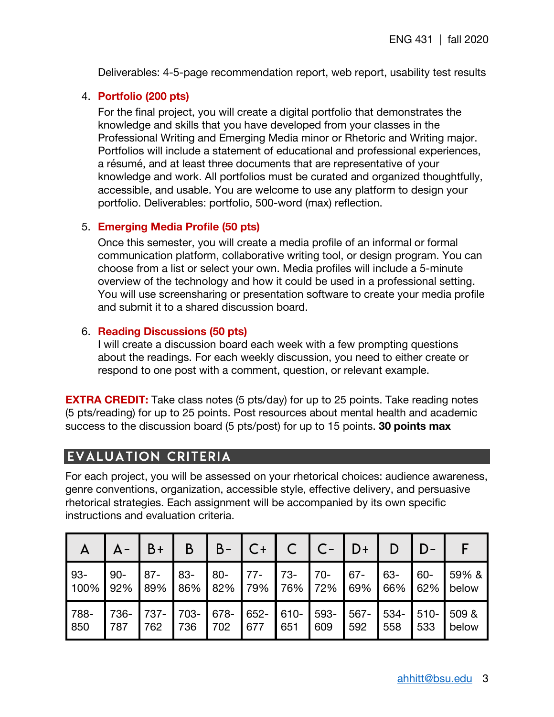Deliverables: 4-5-page recommendation report, web report, usability test results

#### 4. **Portfolio (200 pts)**

For the final project, you will create a digital portfolio that demonstrates the knowledge and skills that you have developed from your classes in the Professional Writing and Emerging Media minor or Rhetoric and Writing major. Portfolios will include a statement of educational and professional experiences, a résumé, and at least three documents that are representative of your knowledge and work. All portfolios must be curated and organized thoughtfully, accessible, and usable. You are welcome to use any platform to design your portfolio. Deliverables: portfolio, 500-word (max) reflection.

#### 5. **Emerging Media Profile (50 pts)**

Once this semester, you will create a media profile of an informal or formal communication platform, collaborative writing tool, or design program. You can choose from a list or select your own. Media profiles will include a 5-minute overview of the technology and how it could be used in a professional setting. You will use screensharing or presentation software to create your media profile and submit it to a shared discussion board.

#### 6. **Reading Discussions (50 pts)**

I will create a discussion board each week with a few prompting questions about the readings. For each weekly discussion, you need to either create or respond to one post with a comment, question, or relevant example.

**EXTRA CREDIT:** Take class notes (5 pts/day) for up to 25 points. Take reading notes (5 pts/reading) for up to 25 points. Post resources about mental health and academic success to the discussion board (5 pts/post) for up to 15 points. **30 points max**

### Evaluation criteria

For each project, you will be assessed on your rhetorical choices: audience awareness, genre conventions, organization, accessible style, effective delivery, and persuasive rhetorical strategies. Each assignment will be accompanied by its own specific instructions and evaluation criteria.

| A    |        | B+      | B      | $B -$  | C+     |       | $C -$ | D+      |      |        |                |
|------|--------|---------|--------|--------|--------|-------|-------|---------|------|--------|----------------|
| 93-  | $90 -$ | $87 -$  | $83 -$ | $80 -$ | $77 -$ | $73-$ | $70-$ | $67 -$  | 63-  | $60 -$ | 59% &          |
| 100% | 92%    | 89%     | 86%    | 82%    | 79%    | 76%   | 72%   | 69%     | 66%  | 62%    | below          |
| 788- | 736-   | $737 -$ | 703-   | 678-   | 652-   | 610-  | 593-  | $567 -$ | 534- | 533    | $510 - 1509$ & |
| 850  | 787    | 762     | 736    | 702    | 677    | 651   | 609   | 592     | 558  |        | below          |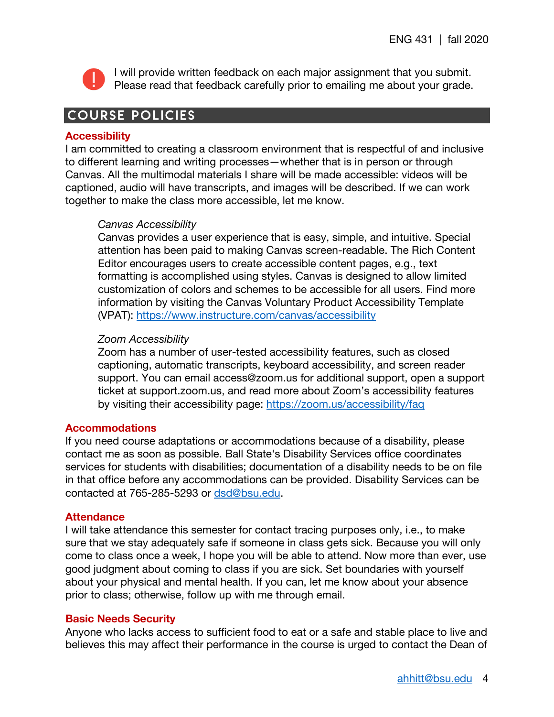

I will provide written feedback on each major assignment that you submit. Please read that feedback carefully prior to emailing me about your grade.

# Course policies

#### **Accessibility**

I am committed to creating a classroom environment that is respectful of and inclusive to different learning and writing processes—whether that is in person or through Canvas. All the multimodal materials I share will be made accessible: videos will be captioned, audio will have transcripts, and images will be described. If we can work together to make the class more accessible, let me know.

#### *Canvas Accessibility*

Canvas provides a user experience that is easy, simple, and intuitive. Special attention has been paid to making Canvas screen-readable. The Rich Content Editor encourages users to create accessible content pages, e.g., text formatting is accomplished using styles. Canvas is designed to allow limited customization of colors and schemes to be accessible for all users. Find more information by visiting the Canvas Voluntary Product Accessibility Template (VPAT): https://www.instructure.com/canvas/accessibility

#### *Zoom Accessibility*

Zoom has a number of user-tested accessibility features, such as closed captioning, automatic transcripts, keyboard accessibility, and screen reader support. You can email access@zoom.us for additional support, open a support ticket at support.zoom.us, and read more about Zoom's accessibility features by visiting their accessibility page: https://zoom.us/accessibility/faq

#### **Accommodations**

If you need course adaptations or accommodations because of a disability, please contact me as soon as possible. Ball State's Disability Services office coordinates services for students with disabilities; documentation of a disability needs to be on file in that office before any accommodations can be provided. Disability Services can be contacted at 765-285-5293 or dsd@bsu.edu.

#### **Attendance**

I will take attendance this semester for contact tracing purposes only, i.e., to make sure that we stay adequately safe if someone in class gets sick. Because you will only come to class once a week, I hope you will be able to attend. Now more than ever, use good judgment about coming to class if you are sick. Set boundaries with yourself about your physical and mental health. If you can, let me know about your absence prior to class; otherwise, follow up with me through email.

#### **Basic Needs Security**

Anyone who lacks access to sufficient food to eat or a safe and stable place to live and believes this may affect their performance in the course is urged to contact the Dean of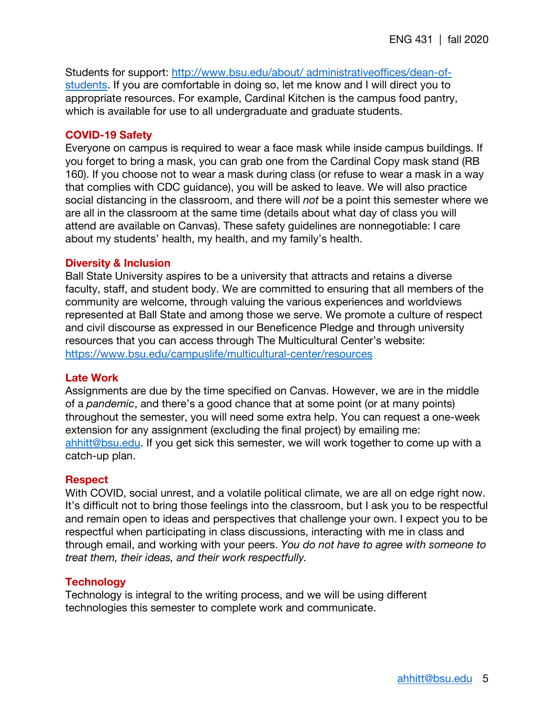Students for support: http://www.bsu.edu/about/ administrativeoffices/dean-ofstudents. If you are comfortable in doing so, let me know and I will direct you to appropriate resources. For example, Cardinal Kitchen is the campus food pantry, which is available for use to all undergraduate and graduate students.

#### **COVID-19 Safety**

Everyone on campus is required to wear a face mask while inside campus buildings. If you forget to bring a mask, you can grab one from the Cardinal Copy mask stand (RB 160). If you choose not to wear a mask during class (or refuse to wear a mask in a way that complies with CDC guidance), you will be asked to leave. We will also practice social distancing in the classroom, and there will *not* be a point this semester where we are all in the classroom at the same time (details about what day of class you will attend are available on Canvas). These safety guidelines are nonnegotiable: I care about my students' health, my health, and my family's health.

#### **Diversity & Inclusion**

Ball State University aspires to be a university that attracts and retains a diverse faculty, staff, and student body. We are committed to ensuring that all members of the community are welcome, through valuing the various experiences and worldviews represented at Ball State and among those we serve. We promote a culture of respect and civil discourse as expressed in our Beneficence Pledge and through university resources that you can access through The Multicultural Center's website: https://www.bsu.edu/campuslife/multicultural-center/resources

#### **Late Work**

Assignments are due by the time specified on Canvas. However, we are in the middle of a *pandemic*, and there's a good chance that at some point (or at many points) throughout the semester, you will need some extra help. You can request a one-week extension for any assignment (excluding the final project) by emailing me: ahhitt@bsu.edu. If you get sick this semester, we will work together to come up with a catch-up plan.

#### **Respect**

With COVID, social unrest, and a volatile political climate, we are all on edge right now. It's difficult not to bring those feelings into the classroom, but I ask you to be respectful and remain open to ideas and perspectives that challenge your own. I expect you to be respectful when participating in class discussions, interacting with me in class and through email, and working with your peers. *You do not have to agree with someone to treat them, their ideas, and their work respectfully.*

#### **Technology**

Technology is integral to the writing process, and we will be using different technologies this semester to complete work and communicate.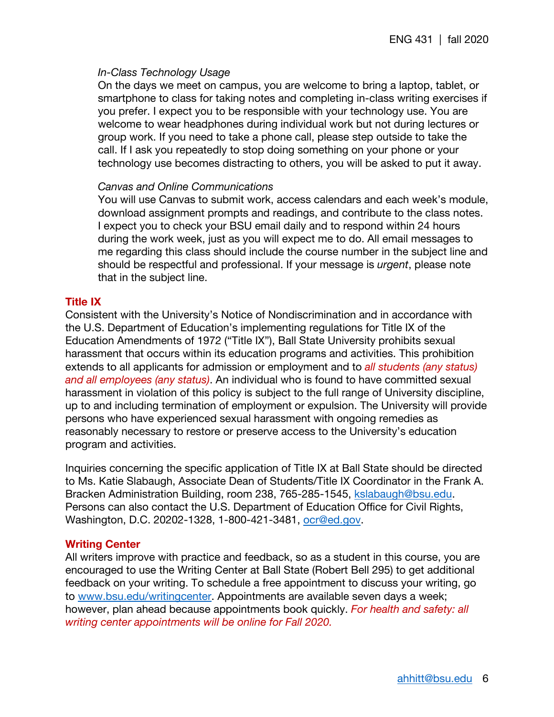#### *In-Class Technology Usage*

On the days we meet on campus, you are welcome to bring a laptop, tablet, or smartphone to class for taking notes and completing in-class writing exercises if you prefer. I expect you to be responsible with your technology use. You are welcome to wear headphones during individual work but not during lectures or group work. If you need to take a phone call, please step outside to take the call. If I ask you repeatedly to stop doing something on your phone or your technology use becomes distracting to others, you will be asked to put it away.

#### *Canvas and Online Communications*

You will use Canvas to submit work, access calendars and each week's module, download assignment prompts and readings, and contribute to the class notes. I expect you to check your BSU email daily and to respond within 24 hours during the work week, just as you will expect me to do. All email messages to me regarding this class should include the course number in the subject line and should be respectful and professional. If your message is *urgent*, please note that in the subject line.

#### **Title IX**

Consistent with the University's Notice of Nondiscrimination and in accordance with the U.S. Department of Education's implementing regulations for Title IX of the Education Amendments of 1972 ("Title IX"), Ball State University prohibits sexual harassment that occurs within its education programs and activities. This prohibition extends to all applicants for admission or employment and to *all students (any status) and all employees (any status)*. An individual who is found to have committed sexual harassment in violation of this policy is subject to the full range of University discipline, up to and including termination of employment or expulsion. The University will provide persons who have experienced sexual harassment with ongoing remedies as reasonably necessary to restore or preserve access to the University's education program and activities.

Inquiries concerning the specific application of Title IX at Ball State should be directed to Ms. Katie Slabaugh, Associate Dean of Students/Title IX Coordinator in the Frank A. Bracken Administration Building, room 238, 765-285-1545, kslabaugh@bsu.edu. Persons can also contact the U.S. Department of Education Office for Civil Rights, Washington, D.C. 20202-1328, 1-800-421-3481, ocr@ed.gov.

#### **Writing Center**

All writers improve with practice and feedback, so as a student in this course, you are encouraged to use the Writing Center at Ball State (Robert Bell 295) to get additional feedback on your writing. To schedule a free appointment to discuss your writing, go to www.bsu.edu/writingcenter. Appointments are available seven days a week; however, plan ahead because appointments book quickly. *For health and safety: all writing center appointments will be online for Fall 2020.*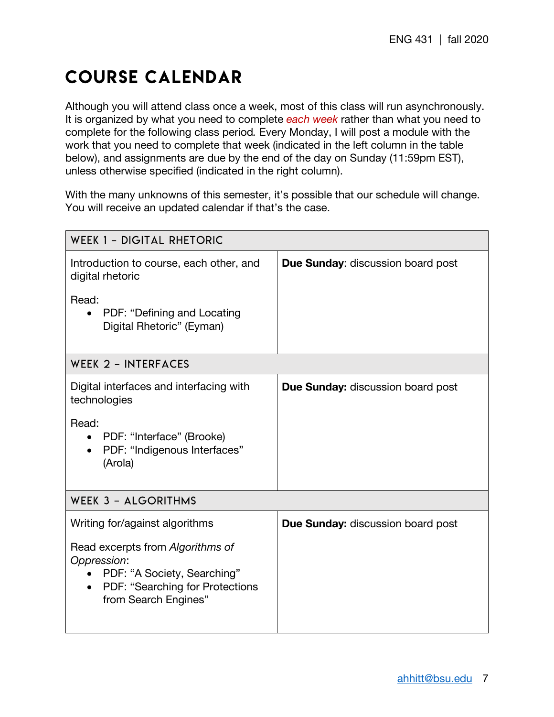# Course calendar

Although you will attend class once a week, most of this class will run asynchronously. It is organized by what you need to complete *each week* rather than what you need to complete for the following class period*.* Every Monday, I will post a module with the work that you need to complete that week (indicated in the left column in the table below), and assignments are due by the end of the day on Sunday (11:59pm EST), unless otherwise specified (indicated in the right column).

With the many unknowns of this semester, it's possible that our schedule will change. You will receive an updated calendar if that's the case.

| <b>WEEK 1 - DIGITAL RHETORIC</b>                                                                                                                       |                                          |  |  |  |  |
|--------------------------------------------------------------------------------------------------------------------------------------------------------|------------------------------------------|--|--|--|--|
| Introduction to course, each other, and<br>digital rhetoric                                                                                            | Due Sunday: discussion board post        |  |  |  |  |
| Read:<br>PDF: "Defining and Locating<br>$\bullet$<br>Digital Rhetoric" (Eyman)                                                                         |                                          |  |  |  |  |
| <b>WEEK 2 - INTERFACES</b>                                                                                                                             |                                          |  |  |  |  |
| Digital interfaces and interfacing with<br>technologies                                                                                                | <b>Due Sunday: discussion board post</b> |  |  |  |  |
| Read:<br>PDF: "Interface" (Brooke)<br>$\bullet$<br>PDF: "Indigenous Interfaces"<br>(Arola)                                                             |                                          |  |  |  |  |
| <b>WEEK 3 - ALGORITHMS</b>                                                                                                                             |                                          |  |  |  |  |
| Writing for/against algorithms                                                                                                                         | Due Sunday: discussion board post        |  |  |  |  |
| Read excerpts from Algorithms of<br>Oppression:<br>PDF: "A Society, Searching"<br>PDF: "Searching for Protections<br>$\bullet$<br>from Search Engines" |                                          |  |  |  |  |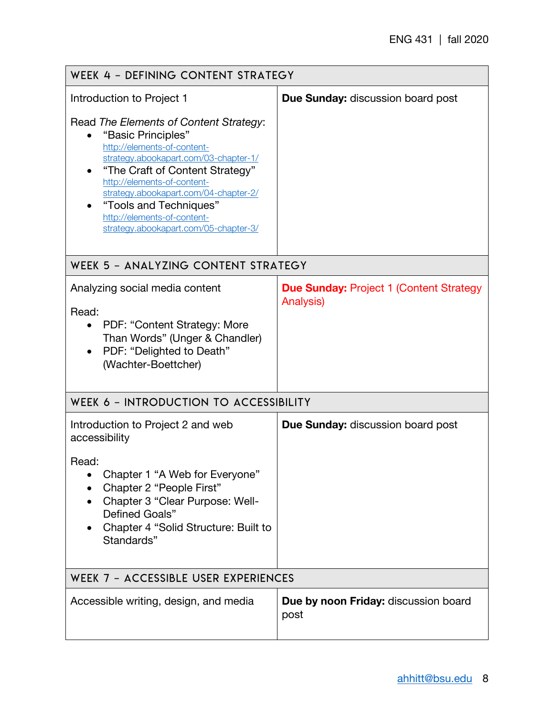| WEEK 4 - DEFINING CONTENT STRATEGY                                                                                                                                                                                                                                                                                                                                             |                                                             |  |  |  |  |
|--------------------------------------------------------------------------------------------------------------------------------------------------------------------------------------------------------------------------------------------------------------------------------------------------------------------------------------------------------------------------------|-------------------------------------------------------------|--|--|--|--|
| Introduction to Project 1<br>Read The Elements of Content Strategy:<br>"Basic Principles"<br>http://elements-of-content-<br>strategy.abookapart.com/03-chapter-1/<br>"The Craft of Content Strategy"<br>http://elements-of-content-<br>strategy.abookapart.com/04-chapter-2/<br>"Tools and Techniques"<br>http://elements-of-content-<br>strategy.abookapart.com/05-chapter-3/ | <b>Due Sunday: discussion board post</b>                    |  |  |  |  |
| WEEK 5 - ANALYZING CONTENT STRATEGY                                                                                                                                                                                                                                                                                                                                            |                                                             |  |  |  |  |
| Analyzing social media content<br>Read:<br>PDF: "Content Strategy: More<br>$\bullet$<br>Than Words" (Unger & Chandler)<br>PDF: "Delighted to Death"<br>(Wachter-Boettcher)                                                                                                                                                                                                     | <b>Due Sunday: Project 1 (Content Strategy</b><br>Analysis) |  |  |  |  |
| WEEK 6 - INTRODUCTION TO ACCESSIBILITY                                                                                                                                                                                                                                                                                                                                         |                                                             |  |  |  |  |
| Introduction to Project 2 and web<br>accessibility<br>Read:<br>Chapter 1 "A Web for Everyone"<br>Chapter 2 "People First"<br>Chapter 3 "Clear Purpose: Well-<br>Defined Goals"<br>Chapter 4 "Solid Structure: Built to<br>Standards"                                                                                                                                           | <b>Due Sunday: discussion board post</b>                    |  |  |  |  |
| WEEK 7 - ACCESSIBLE USER EXPERIENCES                                                                                                                                                                                                                                                                                                                                           |                                                             |  |  |  |  |
| Accessible writing, design, and media                                                                                                                                                                                                                                                                                                                                          | Due by noon Friday: discussion board<br>post                |  |  |  |  |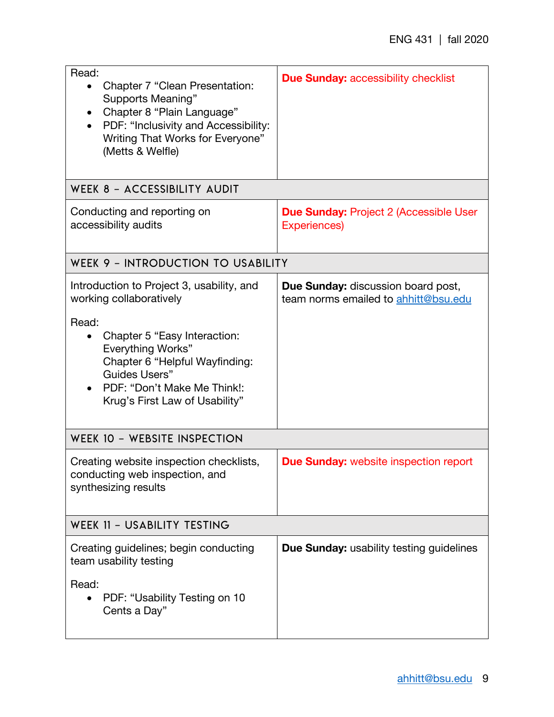| Read:<br>Chapter 7 "Clean Presentation:<br>$\bullet$<br><b>Supports Meaning"</b><br>Chapter 8 "Plain Language"<br>$\bullet$<br>PDF: "Inclusivity and Accessibility:<br>Writing That Works for Everyone"<br>(Metts & Welfle)                                                | Due Sunday: accessibility checklist                                        |  |  |  |
|----------------------------------------------------------------------------------------------------------------------------------------------------------------------------------------------------------------------------------------------------------------------------|----------------------------------------------------------------------------|--|--|--|
| WEEK 8 - ACCESSIBILITY AUDIT                                                                                                                                                                                                                                               |                                                                            |  |  |  |
| Conducting and reporting on<br>accessibility audits                                                                                                                                                                                                                        | <b>Due Sunday: Project 2 (Accessible User</b><br>Experiences)              |  |  |  |
| WEEK 9 - INTRODUCTION TO USABILITY                                                                                                                                                                                                                                         |                                                                            |  |  |  |
| Introduction to Project 3, usability, and<br>working collaboratively<br>Read:<br>Chapter 5 "Easy Interaction:<br>$\bullet$<br><b>Everything Works"</b><br>Chapter 6 "Helpful Wayfinding:<br>Guides Users"<br>PDF: "Don't Make Me Think!:<br>Krug's First Law of Usability" | Due Sunday: discussion board post,<br>team norms emailed to ahhitt@bsu.edu |  |  |  |
| <b>WEEK 10 - WEBSITE INSPECTION</b>                                                                                                                                                                                                                                        |                                                                            |  |  |  |
| Creating website inspection checklists,<br>conducting web inspection, and<br>synthesizing results                                                                                                                                                                          | <b>Due Sunday: website inspection report</b>                               |  |  |  |
| WEEK 11 - USABILITY TESTING                                                                                                                                                                                                                                                |                                                                            |  |  |  |
| Creating guidelines; begin conducting<br>team usability testing<br>Read:<br>PDF: "Usability Testing on 10<br>Cents a Day"                                                                                                                                                  | Due Sunday: usability testing guidelines                                   |  |  |  |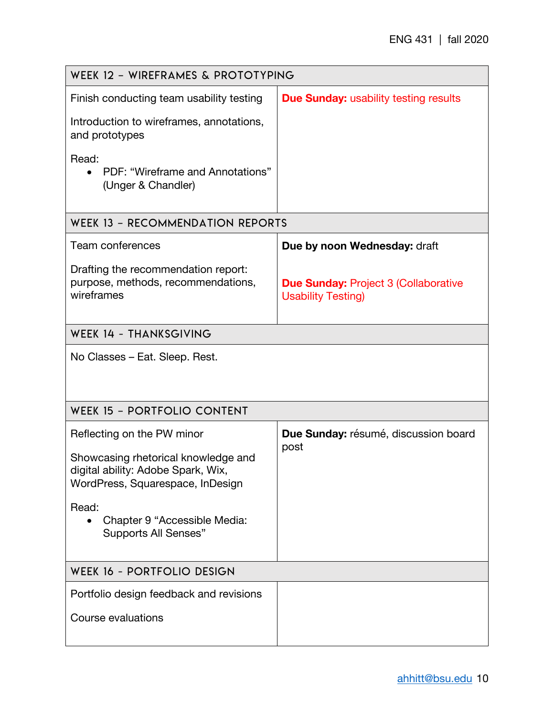| WEEK 12 - WIREFRAMES & PROTOTYPING                                                                                                                                                                |                                                                          |  |  |  |  |
|---------------------------------------------------------------------------------------------------------------------------------------------------------------------------------------------------|--------------------------------------------------------------------------|--|--|--|--|
| Finish conducting team usability testing                                                                                                                                                          | <b>Due Sunday: usability testing results</b>                             |  |  |  |  |
| Introduction to wireframes, annotations,<br>and prototypes                                                                                                                                        |                                                                          |  |  |  |  |
| Read:<br>PDF: "Wireframe and Annotations"<br>$\bullet$<br>(Unger & Chandler)                                                                                                                      |                                                                          |  |  |  |  |
| <b>WEEK 13 - RECOMMENDATION REPORTS</b>                                                                                                                                                           |                                                                          |  |  |  |  |
| Team conferences                                                                                                                                                                                  | Due by noon Wednesday: draft                                             |  |  |  |  |
| Drafting the recommendation report:<br>purpose, methods, recommendations,<br>wireframes                                                                                                           | <b>Due Sunday: Project 3 (Collaborative</b><br><b>Usability Testing)</b> |  |  |  |  |
| <b>WEEK 14 - THANKSGIVING</b>                                                                                                                                                                     |                                                                          |  |  |  |  |
| No Classes - Eat. Sleep. Rest.                                                                                                                                                                    |                                                                          |  |  |  |  |
| <b>WEEK 15 - PORTFOLIO CONTENT</b>                                                                                                                                                                |                                                                          |  |  |  |  |
| Reflecting on the PW minor<br>Showcasing rhetorical knowledge and<br>digital ability: Adobe Spark, Wix,<br>WordPress, Squarespace, InDesign<br>Read:<br>Chapter 9 "Accessible Media:<br>$\bullet$ | Due Sunday: résumé, discussion board<br>post                             |  |  |  |  |
| <b>Supports All Senses"</b>                                                                                                                                                                       |                                                                          |  |  |  |  |
| WEEK 16 - PORTFOLIO DESIGN                                                                                                                                                                        |                                                                          |  |  |  |  |
| Portfolio design feedback and revisions                                                                                                                                                           |                                                                          |  |  |  |  |
| Course evaluations                                                                                                                                                                                |                                                                          |  |  |  |  |